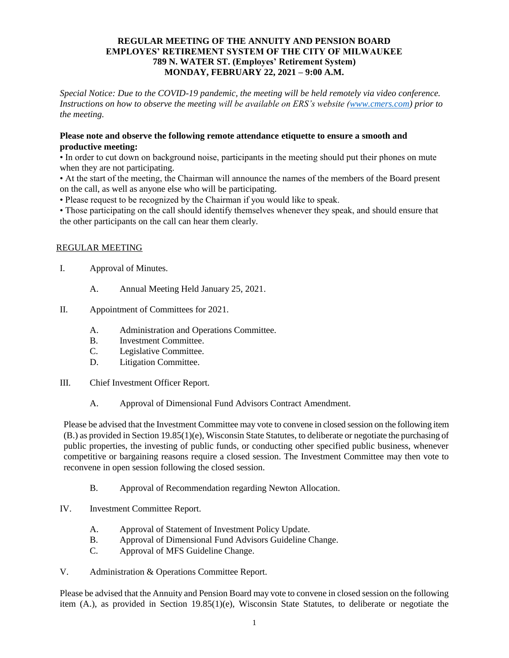### **REGULAR MEETING OF THE ANNUITY AND PENSION BOARD EMPLOYES' RETIREMENT SYSTEM OF THE CITY OF MILWAUKEE 789 N. WATER ST. (Employes' Retirement System) MONDAY, FEBRUARY 22, 2021 – 9:00 A.M.**

*Special Notice: Due to the COVID-19 pandemic, the meeting will be held remotely via video conference. Instructions on how to observe the meeting will be available on ERS's website [\(www.cmers.com\)](http://www.cmers.com/) prior to the meeting.*

### **Please note and observe the following remote attendance etiquette to ensure a smooth and productive meeting:**

• In order to cut down on background noise, participants in the meeting should put their phones on mute when they are not participating.

• At the start of the meeting, the Chairman will announce the names of the members of the Board present on the call, as well as anyone else who will be participating.

• Please request to be recognized by the Chairman if you would like to speak.

• Those participating on the call should identify themselves whenever they speak, and should ensure that the other participants on the call can hear them clearly.

# REGULAR MEETING

- I. Approval of Minutes.
	- A. Annual Meeting Held January 25, 2021.
- II. Appointment of Committees for 2021.
	- A. Administration and Operations Committee.
	- B. Investment Committee.
	- C. Legislative Committee.
	- D. Litigation Committee.
- III. Chief Investment Officer Report.
	- A. Approval of Dimensional Fund Advisors Contract Amendment.

Please be advised that the Investment Committee may vote to convene in closed session on the following item (B.) as provided in Section 19.85(1)(e), Wisconsin State Statutes, to deliberate or negotiate the purchasing of public properties, the investing of public funds, or conducting other specified public business, whenever competitive or bargaining reasons require a closed session. The Investment Committee may then vote to reconvene in open session following the closed session.

- B. Approval of Recommendation regarding Newton Allocation.
- IV. Investment Committee Report.
	- A. Approval of Statement of Investment Policy Update.
	- B. Approval of Dimensional Fund Advisors Guideline Change.
	- C. Approval of MFS Guideline Change.
- V. Administration & Operations Committee Report.

Please be advised that the Annuity and Pension Board may vote to convene in closed session on the following item (A.), as provided in Section 19.85(1)(e), Wisconsin State Statutes, to deliberate or negotiate the